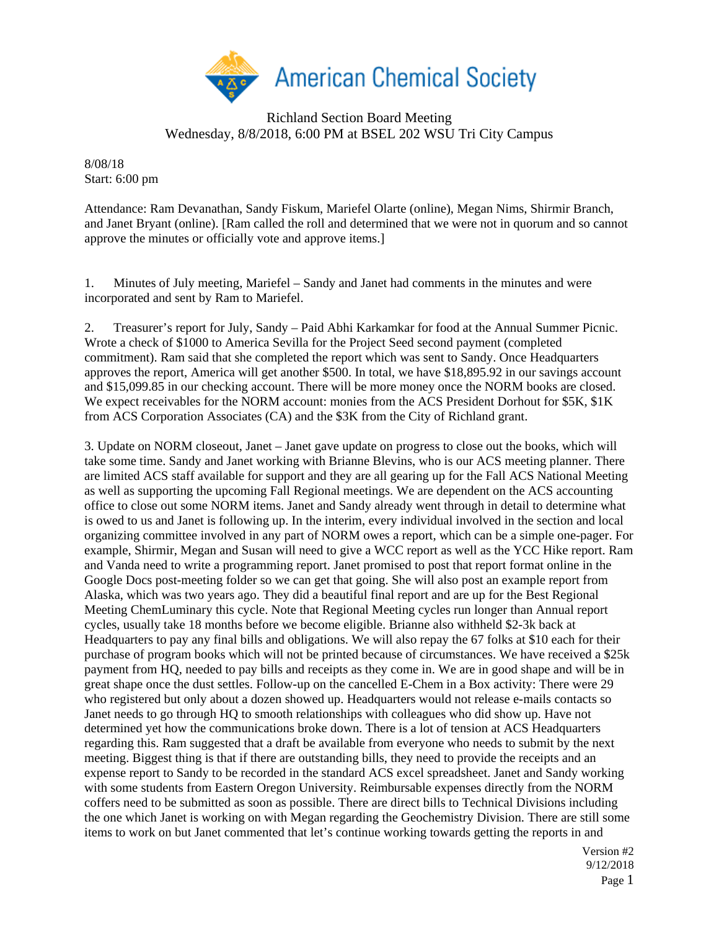

## Richland Section Board Meeting Wednesday, 8/8/2018, 6:00 PM at BSEL 202 WSU Tri City Campus

8/08/18 Start: 6:00 pm

Attendance: Ram Devanathan, Sandy Fiskum, Mariefel Olarte (online), Megan Nims, Shirmir Branch, and Janet Bryant (online). [Ram called the roll and determined that we were not in quorum and so cannot approve the minutes or officially vote and approve items.]

1. Minutes of July meeting, Mariefel – Sandy and Janet had comments in the minutes and were incorporated and sent by Ram to Mariefel.

2. Treasurer's report for July, Sandy – Paid Abhi Karkamkar for food at the Annual Summer Picnic. Wrote a check of \$1000 to America Sevilla for the Project Seed second payment (completed commitment). Ram said that she completed the report which was sent to Sandy. Once Headquarters approves the report, America will get another \$500. In total, we have \$18,895.92 in our savings account and \$15,099.85 in our checking account. There will be more money once the NORM books are closed. We expect receivables for the NORM account: monies from the ACS President Dorhout for \$5K, \$1K from ACS Corporation Associates (CA) and the \$3K from the City of Richland grant.

3. Update on NORM closeout, Janet – Janet gave update on progress to close out the books, which will take some time. Sandy and Janet working with Brianne Blevins, who is our ACS meeting planner. There are limited ACS staff available for support and they are all gearing up for the Fall ACS National Meeting as well as supporting the upcoming Fall Regional meetings. We are dependent on the ACS accounting office to close out some NORM items. Janet and Sandy already went through in detail to determine what is owed to us and Janet is following up. In the interim, every individual involved in the section and local organizing committee involved in any part of NORM owes a report, which can be a simple one-pager. For example, Shirmir, Megan and Susan will need to give a WCC report as well as the YCC Hike report. Ram and Vanda need to write a programming report. Janet promised to post that report format online in the Google Docs post-meeting folder so we can get that going. She will also post an example report from Alaska, which was two years ago. They did a beautiful final report and are up for the Best Regional Meeting ChemLuminary this cycle. Note that Regional Meeting cycles run longer than Annual report cycles, usually take 18 months before we become eligible. Brianne also withheld \$2-3k back at Headquarters to pay any final bills and obligations. We will also repay the 67 folks at \$10 each for their purchase of program books which will not be printed because of circumstances. We have received a \$25k payment from HQ, needed to pay bills and receipts as they come in. We are in good shape and will be in great shape once the dust settles. Follow-up on the cancelled E-Chem in a Box activity: There were 29 who registered but only about a dozen showed up. Headquarters would not release e-mails contacts so Janet needs to go through HQ to smooth relationships with colleagues who did show up. Have not determined yet how the communications broke down. There is a lot of tension at ACS Headquarters regarding this. Ram suggested that a draft be available from everyone who needs to submit by the next meeting. Biggest thing is that if there are outstanding bills, they need to provide the receipts and an expense report to Sandy to be recorded in the standard ACS excel spreadsheet. Janet and Sandy working with some students from Eastern Oregon University. Reimbursable expenses directly from the NORM coffers need to be submitted as soon as possible. There are direct bills to Technical Divisions including the one which Janet is working on with Megan regarding the Geochemistry Division. There are still some items to work on but Janet commented that let's continue working towards getting the reports in and

> Version #2 9/12/2018 Page 1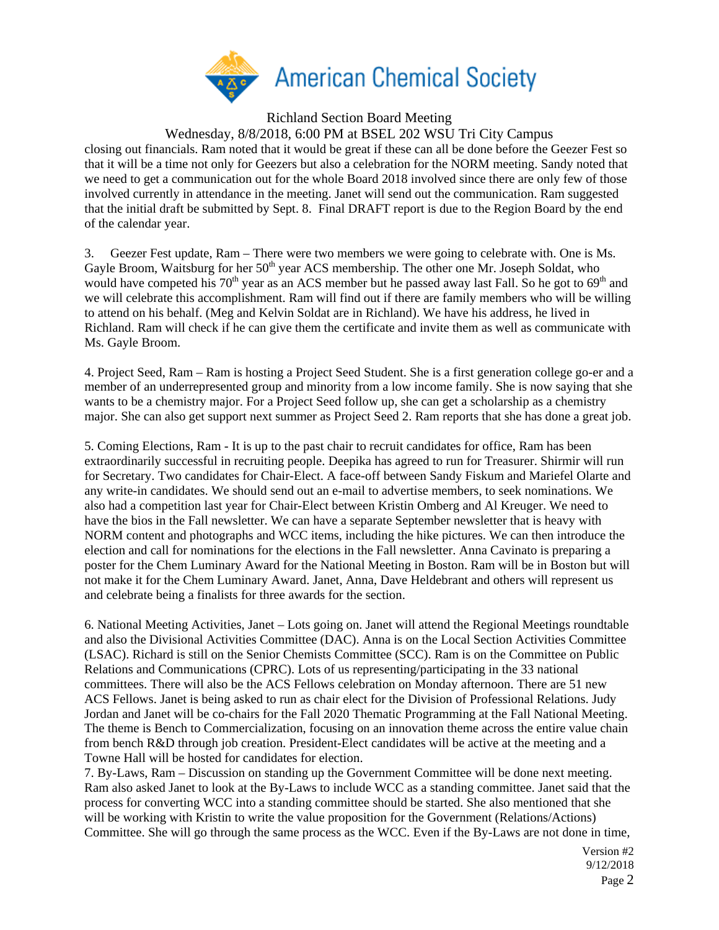

Richland Section Board Meeting

Wednesday, 8/8/2018, 6:00 PM at BSEL 202 WSU Tri City Campus

closing out financials. Ram noted that it would be great if these can all be done before the Geezer Fest so that it will be a time not only for Geezers but also a celebration for the NORM meeting. Sandy noted that we need to get a communication out for the whole Board 2018 involved since there are only few of those involved currently in attendance in the meeting. Janet will send out the communication. Ram suggested that the initial draft be submitted by Sept. 8. Final DRAFT report is due to the Region Board by the end of the calendar year.

3. Geezer Fest update, Ram – There were two members we were going to celebrate with. One is Ms. Gayle Broom, Waitsburg for her 50<sup>th</sup> year ACS membership. The other one Mr. Joseph Soldat, who would have competed his  $70<sup>th</sup>$  year as an ACS member but he passed away last Fall. So he got to  $69<sup>th</sup>$  and we will celebrate this accomplishment. Ram will find out if there are family members who will be willing to attend on his behalf. (Meg and Kelvin Soldat are in Richland). We have his address, he lived in Richland. Ram will check if he can give them the certificate and invite them as well as communicate with Ms. Gayle Broom.

4. Project Seed, Ram – Ram is hosting a Project Seed Student. She is a first generation college go-er and a member of an underrepresented group and minority from a low income family. She is now saying that she wants to be a chemistry major. For a Project Seed follow up, she can get a scholarship as a chemistry major. She can also get support next summer as Project Seed 2. Ram reports that she has done a great job.

5. Coming Elections, Ram - It is up to the past chair to recruit candidates for office, Ram has been extraordinarily successful in recruiting people. Deepika has agreed to run for Treasurer. Shirmir will run for Secretary. Two candidates for Chair-Elect. A face-off between Sandy Fiskum and Mariefel Olarte and any write-in candidates. We should send out an e-mail to advertise members, to seek nominations. We also had a competition last year for Chair-Elect between Kristin Omberg and Al Kreuger. We need to have the bios in the Fall newsletter. We can have a separate September newsletter that is heavy with NORM content and photographs and WCC items, including the hike pictures. We can then introduce the election and call for nominations for the elections in the Fall newsletter. Anna Cavinato is preparing a poster for the Chem Luminary Award for the National Meeting in Boston. Ram will be in Boston but will not make it for the Chem Luminary Award. Janet, Anna, Dave Heldebrant and others will represent us and celebrate being a finalists for three awards for the section.

6. National Meeting Activities, Janet – Lots going on. Janet will attend the Regional Meetings roundtable and also the Divisional Activities Committee (DAC). Anna is on the Local Section Activities Committee (LSAC). Richard is still on the Senior Chemists Committee (SCC). Ram is on the Committee on Public Relations and Communications (CPRC). Lots of us representing/participating in the 33 national committees. There will also be the ACS Fellows celebration on Monday afternoon. There are 51 new ACS Fellows. Janet is being asked to run as chair elect for the Division of Professional Relations. Judy Jordan and Janet will be co-chairs for the Fall 2020 Thematic Programming at the Fall National Meeting. The theme is Bench to Commercialization, focusing on an innovation theme across the entire value chain from bench R&D through job creation. President-Elect candidates will be active at the meeting and a Towne Hall will be hosted for candidates for election.

7. By-Laws, Ram – Discussion on standing up the Government Committee will be done next meeting. Ram also asked Janet to look at the By-Laws to include WCC as a standing committee. Janet said that the process for converting WCC into a standing committee should be started. She also mentioned that she will be working with Kristin to write the value proposition for the Government (Relations/Actions) Committee. She will go through the same process as the WCC. Even if the By-Laws are not done in time,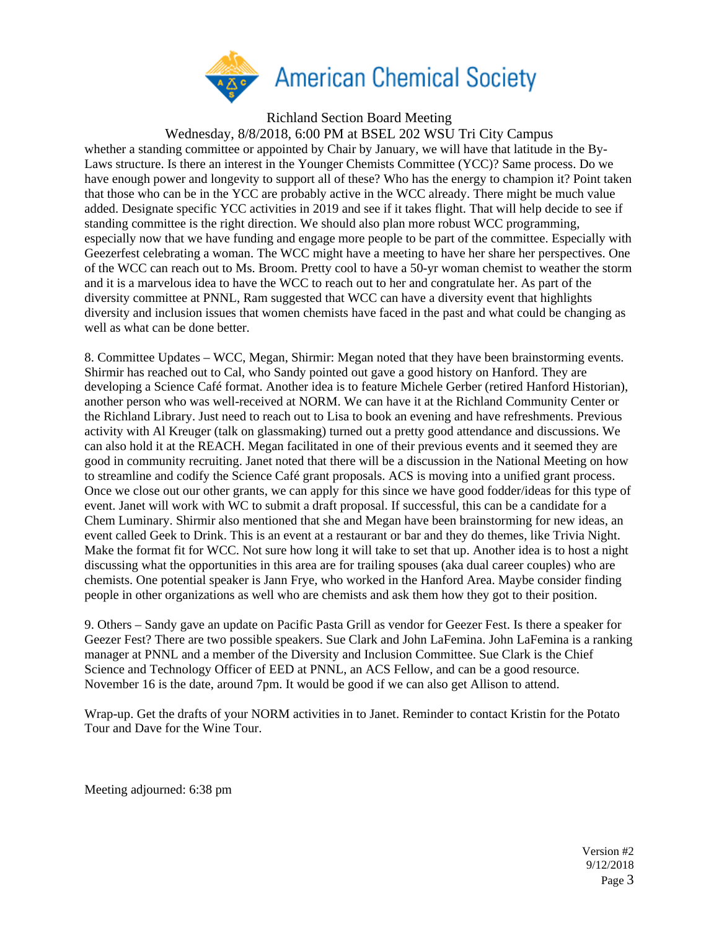

Richland Section Board Meeting

Wednesday, 8/8/2018, 6:00 PM at BSEL 202 WSU Tri City Campus

whether a standing committee or appointed by Chair by January, we will have that latitude in the By-Laws structure. Is there an interest in the Younger Chemists Committee (YCC)? Same process. Do we have enough power and longevity to support all of these? Who has the energy to champion it? Point taken that those who can be in the YCC are probably active in the WCC already. There might be much value added. Designate specific YCC activities in 2019 and see if it takes flight. That will help decide to see if standing committee is the right direction. We should also plan more robust WCC programming, especially now that we have funding and engage more people to be part of the committee. Especially with Geezerfest celebrating a woman. The WCC might have a meeting to have her share her perspectives. One of the WCC can reach out to Ms. Broom. Pretty cool to have a 50-yr woman chemist to weather the storm and it is a marvelous idea to have the WCC to reach out to her and congratulate her. As part of the diversity committee at PNNL, Ram suggested that WCC can have a diversity event that highlights diversity and inclusion issues that women chemists have faced in the past and what could be changing as well as what can be done better.

8. Committee Updates – WCC, Megan, Shirmir: Megan noted that they have been brainstorming events. Shirmir has reached out to Cal, who Sandy pointed out gave a good history on Hanford. They are developing a Science Café format. Another idea is to feature Michele Gerber (retired Hanford Historian), another person who was well-received at NORM. We can have it at the Richland Community Center or the Richland Library. Just need to reach out to Lisa to book an evening and have refreshments. Previous activity with Al Kreuger (talk on glassmaking) turned out a pretty good attendance and discussions. We can also hold it at the REACH. Megan facilitated in one of their previous events and it seemed they are good in community recruiting. Janet noted that there will be a discussion in the National Meeting on how to streamline and codify the Science Café grant proposals. ACS is moving into a unified grant process. Once we close out our other grants, we can apply for this since we have good fodder/ideas for this type of event. Janet will work with WC to submit a draft proposal. If successful, this can be a candidate for a Chem Luminary. Shirmir also mentioned that she and Megan have been brainstorming for new ideas, an event called Geek to Drink. This is an event at a restaurant or bar and they do themes, like Trivia Night. Make the format fit for WCC. Not sure how long it will take to set that up. Another idea is to host a night discussing what the opportunities in this area are for trailing spouses (aka dual career couples) who are chemists. One potential speaker is Jann Frye, who worked in the Hanford Area. Maybe consider finding people in other organizations as well who are chemists and ask them how they got to their position.

9. Others – Sandy gave an update on Pacific Pasta Grill as vendor for Geezer Fest. Is there a speaker for Geezer Fest? There are two possible speakers. Sue Clark and John LaFemina. John LaFemina is a ranking manager at PNNL and a member of the Diversity and Inclusion Committee. Sue Clark is the Chief Science and Technology Officer of EED at PNNL, an ACS Fellow, and can be a good resource. November 16 is the date, around 7pm. It would be good if we can also get Allison to attend.

Wrap-up. Get the drafts of your NORM activities in to Janet. Reminder to contact Kristin for the Potato Tour and Dave for the Wine Tour.

Meeting adjourned: 6:38 pm